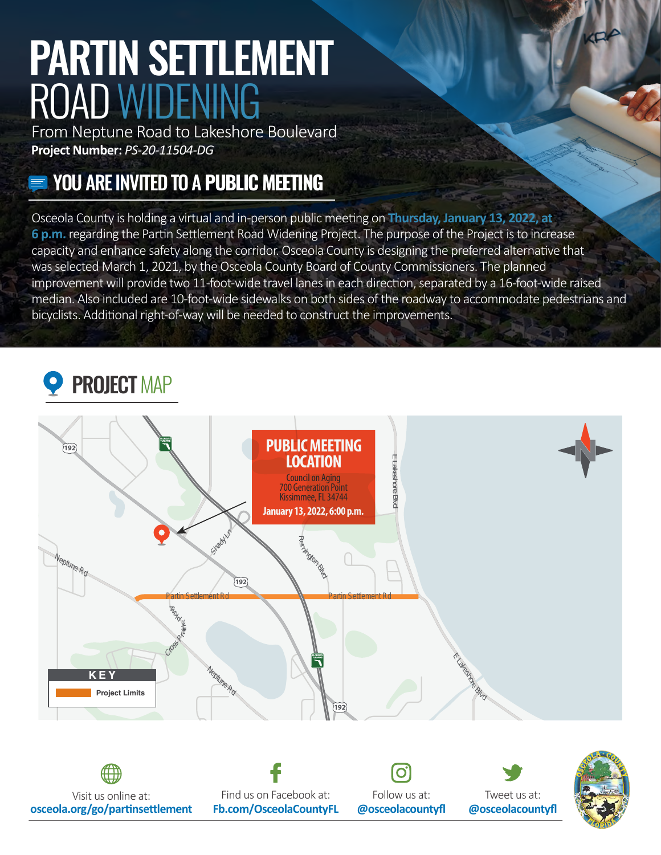# PARTIN SETTLEMENT ROAD WIDENING

From Neptune Road to Lakeshore Boulevard **Project Number:** *PS-20-11504-DG* 

### YOU ARE INVITED TO A **PUBLIC MEETING**

Osceola County is holding a virtual and in-person public meeting on **Thursday, January 13, 2022, at 6 p.m.** regarding the Partin Settlement Road Widening Project. The purpose of the Project is to increase capacity and enhance safety along the corridor. Osceola County is designing the preferred alterna�ve that was selected March 1, 2021, by the Osceola County Board of County Commissioners. The planned improvement will provide two 11-foot-wide travel lanes in each direction, separated by a 16-foot-wide raised median. Also included are 10-foot-wide sidewalks on both sides of the roadway to accommodate pedestrians and bicyclists. Additional right-of-way will be needed to construct the improvements.

## PROJECT MAP



Visit us online at: Find us on Facebook at: Follow us at: Tweet us at: **osceola.org/go/par�nse�lement [Fb.com/OsceolaCountyFL](https://Fb.com/OsceolaCountyFL) @osceolacountyfl @osceolacountyfl**